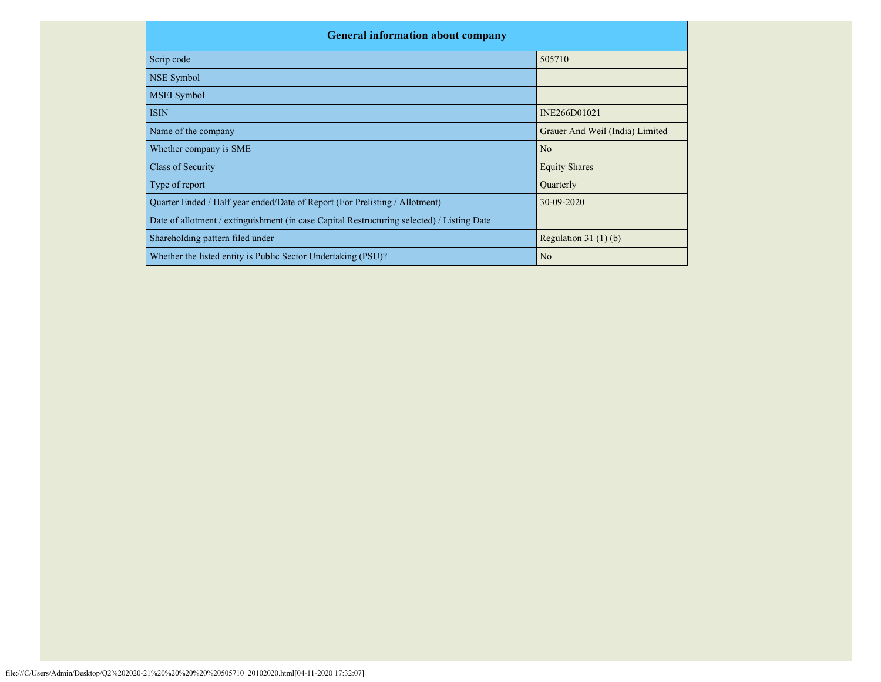| <b>General information about company</b>                                                   |                                 |  |  |  |  |  |  |  |
|--------------------------------------------------------------------------------------------|---------------------------------|--|--|--|--|--|--|--|
| Scrip code                                                                                 | 505710                          |  |  |  |  |  |  |  |
| NSE Symbol                                                                                 |                                 |  |  |  |  |  |  |  |
| <b>MSEI</b> Symbol                                                                         |                                 |  |  |  |  |  |  |  |
| <b>ISIN</b>                                                                                | INE266D01021                    |  |  |  |  |  |  |  |
| Name of the company                                                                        | Grauer And Weil (India) Limited |  |  |  |  |  |  |  |
| Whether company is SME                                                                     | N <sub>o</sub>                  |  |  |  |  |  |  |  |
| Class of Security                                                                          | <b>Equity Shares</b>            |  |  |  |  |  |  |  |
| Type of report                                                                             | Quarterly                       |  |  |  |  |  |  |  |
| Quarter Ended / Half year ended/Date of Report (For Prelisting / Allotment)                | 30-09-2020                      |  |  |  |  |  |  |  |
| Date of allotment / extinguishment (in case Capital Restructuring selected) / Listing Date |                                 |  |  |  |  |  |  |  |
| Shareholding pattern filed under                                                           | Regulation $31(1)(b)$           |  |  |  |  |  |  |  |
| Whether the listed entity is Public Sector Undertaking (PSU)?                              | N <sub>o</sub>                  |  |  |  |  |  |  |  |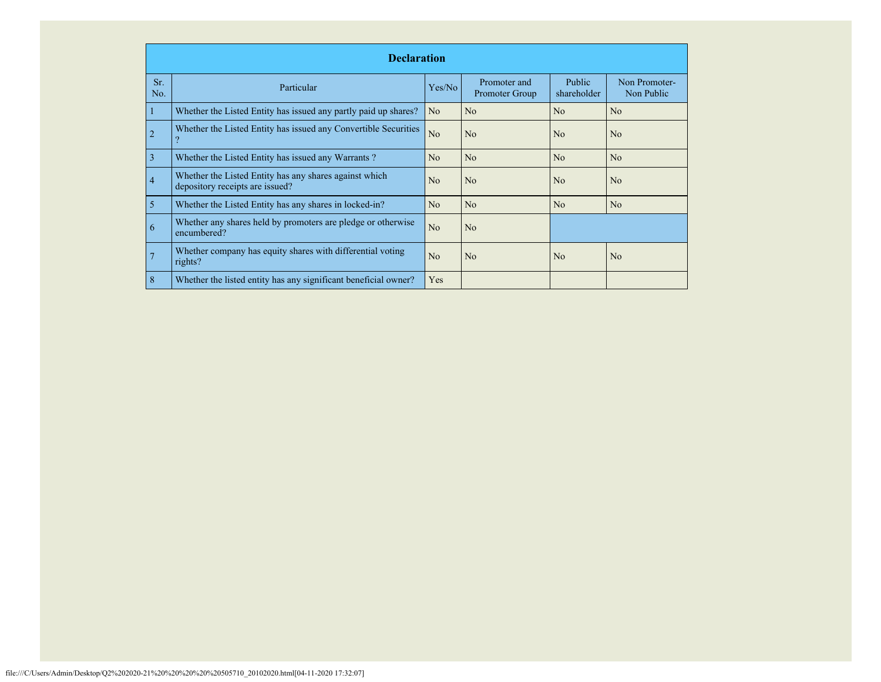|                | <b>Declaration</b>                                                                        |                |                                |                              |                             |  |  |  |  |  |  |
|----------------|-------------------------------------------------------------------------------------------|----------------|--------------------------------|------------------------------|-----------------------------|--|--|--|--|--|--|
| Sr.<br>No.     | Particular                                                                                | Yes/No         | Promoter and<br>Promoter Group | <b>Public</b><br>shareholder | Non Promoter-<br>Non Public |  |  |  |  |  |  |
|                | Whether the Listed Entity has issued any partly paid up shares?                           | N <sub>o</sub> | No                             | No                           | N <sub>0</sub>              |  |  |  |  |  |  |
| $\overline{2}$ | Whether the Listed Entity has issued any Convertible Securities                           | No             | No                             | No                           | N <sub>0</sub>              |  |  |  |  |  |  |
| 3              | Whether the Listed Entity has issued any Warrants?                                        | No             | No                             | No                           | No                          |  |  |  |  |  |  |
| $\overline{4}$ | Whether the Listed Entity has any shares against which<br>depository receipts are issued? | N <sub>0</sub> | No                             | N <sub>0</sub>               | N <sub>0</sub>              |  |  |  |  |  |  |
| 5              | Whether the Listed Entity has any shares in locked-in?                                    | No             | No                             | No                           | N <sub>o</sub>              |  |  |  |  |  |  |
| 6              | Whether any shares held by promoters are pledge or otherwise<br>encumbered?               | N <sub>o</sub> | No                             |                              |                             |  |  |  |  |  |  |
| 7              | Whether company has equity shares with differential voting<br>rights?                     | N <sub>0</sub> | N <sub>o</sub>                 | N <sub>0</sub>               | N <sub>0</sub>              |  |  |  |  |  |  |
| 8              | Whether the listed entity has any significant beneficial owner?                           | Yes            |                                |                              |                             |  |  |  |  |  |  |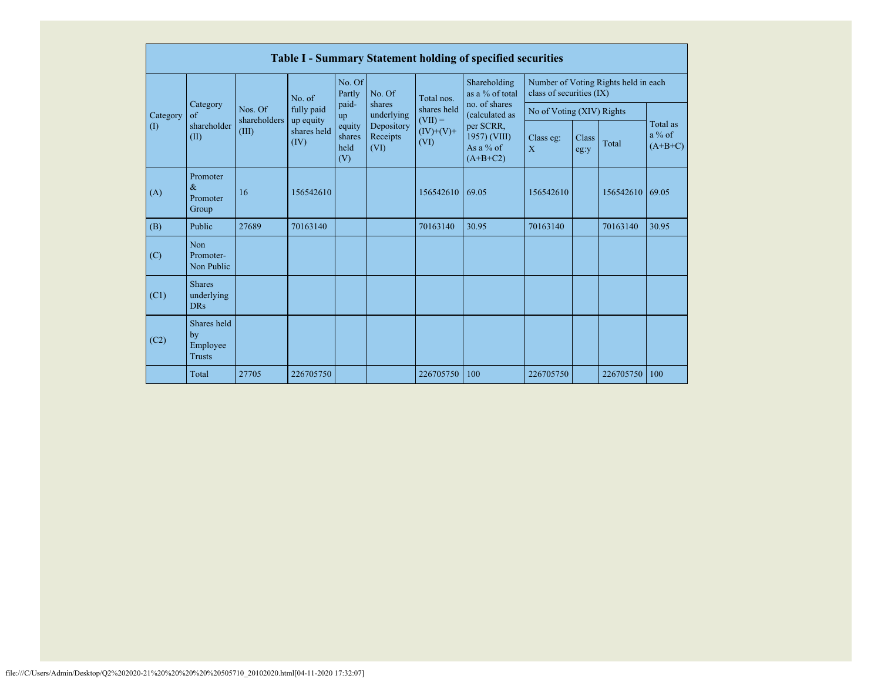|                                                                                                                                                              | Table I - Summary Statement holding of specified securities |                                                      |                |                  |                      |                                   |                                                  |                           |  |                                      |       |
|--------------------------------------------------------------------------------------------------------------------------------------------------------------|-------------------------------------------------------------|------------------------------------------------------|----------------|------------------|----------------------|-----------------------------------|--------------------------------------------------|---------------------------|--|--------------------------------------|-------|
|                                                                                                                                                              |                                                             |                                                      | No. of         | No. Of<br>Partly | No. Of               | Total nos.                        | Shareholding<br>as a % of total<br>no. of shares | class of securities (IX)  |  | Number of Voting Rights held in each |       |
| Category                                                                                                                                                     | Category<br>$\alpha$ f                                      | Nos. Of                                              | fully paid     | paid-<br>up      | shares<br>underlying | shares held                       | (calculated as                                   | No of Voting (XIV) Rights |  |                                      |       |
| shareholders<br>up equity<br>shareholder<br>equity<br>(1)<br>Depository<br>shares held<br>(III)<br>(II)<br>Receipts<br>shares<br>(IV)<br>held<br>(VI)<br>(V) | $(VII) =$<br>$(IV)+(V)+$<br>(VI)                            | per SCRR,<br>1957) (VIII)<br>As a % of<br>$(A+B+C2)$ | Class eg:<br>X | Class<br>eg:y    | Total                | Total as<br>$a\%$ of<br>$(A+B+C)$ |                                                  |                           |  |                                      |       |
| (A)                                                                                                                                                          | Promoter<br>$\&$<br>Promoter<br>Group                       | 16                                                   | 156542610      |                  |                      | 156542610                         | 69.05                                            | 156542610                 |  | 156542610                            | 69.05 |
| (B)                                                                                                                                                          | Public                                                      | 27689                                                | 70163140       |                  |                      | 70163140                          | 30.95                                            | 70163140                  |  | 70163140                             | 30.95 |
| (C)                                                                                                                                                          | <b>Non</b><br>Promoter-<br>Non Public                       |                                                      |                |                  |                      |                                   |                                                  |                           |  |                                      |       |
| (C1)                                                                                                                                                         | <b>Shares</b><br>underlying<br><b>DRs</b>                   |                                                      |                |                  |                      |                                   |                                                  |                           |  |                                      |       |
| (C2)                                                                                                                                                         | Shares held<br>by<br>Employee<br><b>Trusts</b>              |                                                      |                |                  |                      |                                   |                                                  |                           |  |                                      |       |
|                                                                                                                                                              | Total                                                       | 27705                                                | 226705750      |                  |                      | 226705750                         | 100                                              | 226705750                 |  | 226705750                            | 100   |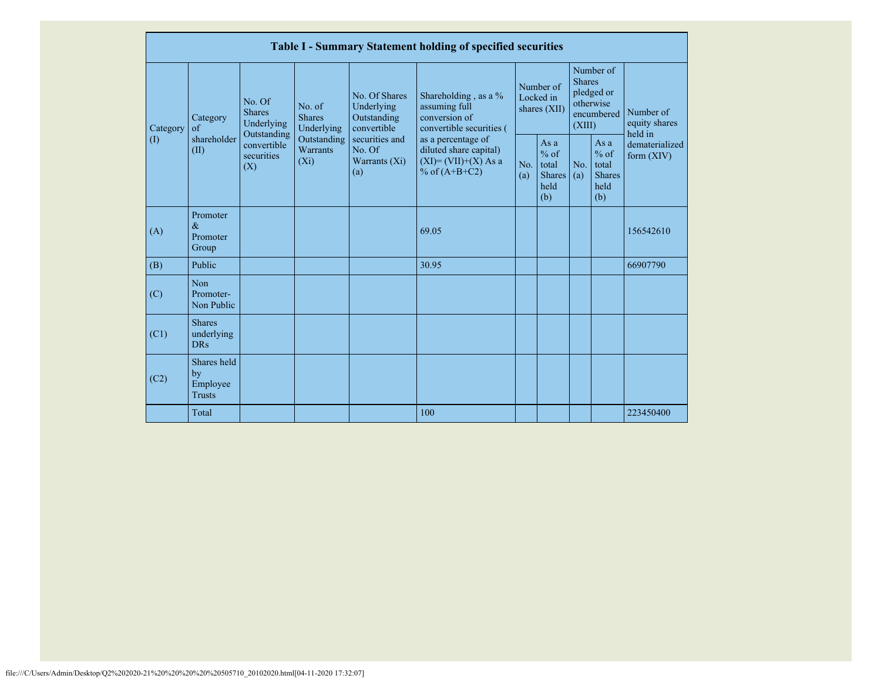|          |                                                          |                                                |                                       |                                                           |                                                                                    | <b>Table I - Summary Statement holding of specified securities</b>                       |            |                                                           |                                                    |                                                         |                                |
|----------|----------------------------------------------------------|------------------------------------------------|---------------------------------------|-----------------------------------------------------------|------------------------------------------------------------------------------------|------------------------------------------------------------------------------------------|------------|-----------------------------------------------------------|----------------------------------------------------|---------------------------------------------------------|--------------------------------|
| Category | No. Of<br><b>Shares</b><br>Category<br>of<br>Outstanding | Underlying                                     | No. of<br><b>Shares</b><br>Underlying | No. Of Shares<br>Underlying<br>Outstanding<br>convertible | Shareholding, as a %<br>assuming full<br>conversion of<br>convertible securities ( | Number of<br>Locked in<br>shares (XII)                                                   |            | <b>Shares</b><br>(XIII)                                   | Number of<br>pledged or<br>otherwise<br>encumbered | Number of<br>equity shares<br>held in                   |                                |
|          | $\left( \mathrm{I}\right)$                               | shareholder<br>(II)                            | convertible<br>securities<br>(X)      | Outstanding<br><b>Warrants</b><br>$(X_i)$                 | securities and<br>No. Of<br>Warrants $(X_i)$<br>(a)                                | as a percentage of<br>diluted share capital)<br>$(XI)=(VII)+(X) As a$<br>% of $(A+B+C2)$ | No.<br>(a) | As $a$<br>$%$ of<br>total<br><b>Shares</b><br>held<br>(b) | No.<br>(a)                                         | As a<br>$%$ of<br>total<br><b>Shares</b><br>held<br>(b) | dematerialized<br>form $(XIV)$ |
|          | (A)                                                      | Promoter<br>$\&$<br>Promoter<br>Group          |                                       |                                                           |                                                                                    | 69.05                                                                                    |            |                                                           |                                                    |                                                         | 156542610                      |
|          | (B)                                                      | Public                                         |                                       |                                                           |                                                                                    | 30.95                                                                                    |            |                                                           |                                                    |                                                         | 66907790                       |
|          | (C)                                                      | <b>Non</b><br>Promoter-<br>Non Public          |                                       |                                                           |                                                                                    |                                                                                          |            |                                                           |                                                    |                                                         |                                |
|          | (C1)                                                     | <b>Shares</b><br>underlying<br><b>DRs</b>      |                                       |                                                           |                                                                                    |                                                                                          |            |                                                           |                                                    |                                                         |                                |
|          | (C2)                                                     | Shares held<br>by<br>Employee<br><b>Trusts</b> |                                       |                                                           |                                                                                    |                                                                                          |            |                                                           |                                                    |                                                         |                                |
|          |                                                          | Total                                          |                                       |                                                           |                                                                                    | 100                                                                                      |            |                                                           |                                                    |                                                         | 223450400                      |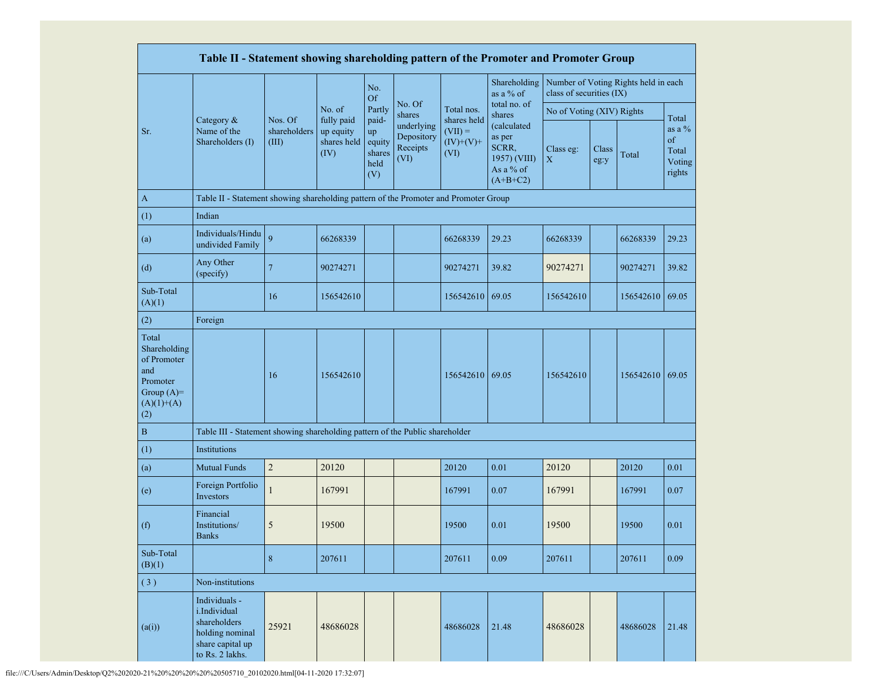|                                                                                                | Table II - Statement showing shareholding pattern of the Promoter and Promoter Group                    |                                  |                                                |                                                |                                              |                                                 |                                                                           |                           |               |                                      |                                             |
|------------------------------------------------------------------------------------------------|---------------------------------------------------------------------------------------------------------|----------------------------------|------------------------------------------------|------------------------------------------------|----------------------------------------------|-------------------------------------------------|---------------------------------------------------------------------------|---------------------------|---------------|--------------------------------------|---------------------------------------------|
|                                                                                                |                                                                                                         |                                  |                                                | No.<br><b>Of</b>                               |                                              |                                                 | Shareholding<br>as a % of                                                 | class of securities (IX)  |               | Number of Voting Rights held in each |                                             |
|                                                                                                |                                                                                                         |                                  | No. of                                         | Partly                                         | No. Of<br>shares                             | Total nos.                                      | total no. of<br>shares                                                    | No of Voting (XIV) Rights |               |                                      | Total                                       |
| Sr.                                                                                            | Category &<br>Name of the<br>Shareholders (I)                                                           | Nos. Of<br>shareholders<br>(III) | fully paid<br>up equity<br>shares held<br>(IV) | paid-<br>up<br>equity<br>shares<br>held<br>(V) | underlying<br>Depository<br>Receipts<br>(VI) | shares held<br>$(VII) =$<br>$(IV)+(V)+$<br>(VI) | (calculated<br>as per<br>SCRR,<br>1957) (VIII)<br>As a % of<br>$(A+B+C2)$ | Class eg:<br>$\mathbf X$  | Class<br>eg:y | Total                                | as a $%$<br>of<br>Total<br>Voting<br>rights |
| $\mathbf{A}$                                                                                   | Table II - Statement showing shareholding pattern of the Promoter and Promoter Group                    |                                  |                                                |                                                |                                              |                                                 |                                                                           |                           |               |                                      |                                             |
| (1)                                                                                            | Indian                                                                                                  |                                  |                                                |                                                |                                              |                                                 |                                                                           |                           |               |                                      |                                             |
| (a)                                                                                            | Individuals/Hindu<br>undivided Family                                                                   | $\overline{Q}$                   | 66268339                                       |                                                |                                              | 66268339                                        | 29.23                                                                     | 66268339                  |               | 66268339                             | 29.23                                       |
| (d)                                                                                            | Any Other<br>(specify)                                                                                  | $\overline{7}$                   | 90274271                                       |                                                |                                              | 90274271                                        | 39.82                                                                     | 90274271                  |               | 90274271                             | 39.82                                       |
| Sub-Total<br>(A)(1)                                                                            |                                                                                                         | 16                               | 156542610                                      |                                                |                                              | 156542610                                       | 69.05                                                                     | 156542610                 |               | 156542610 69.05                      |                                             |
| (2)                                                                                            | Foreign                                                                                                 |                                  |                                                |                                                |                                              |                                                 |                                                                           |                           |               |                                      |                                             |
| Total<br>Shareholding<br>of Promoter<br>and<br>Promoter<br>Group $(A)=$<br>$(A)(1)+(A)$<br>(2) |                                                                                                         | 16                               | 156542610                                      |                                                |                                              | 156542610                                       | 69.05                                                                     | 156542610                 |               | 156542610 69.05                      |                                             |
| $\, {\bf B}$                                                                                   | Table III - Statement showing shareholding pattern of the Public shareholder                            |                                  |                                                |                                                |                                              |                                                 |                                                                           |                           |               |                                      |                                             |
| (1)                                                                                            | Institutions                                                                                            |                                  |                                                |                                                |                                              |                                                 |                                                                           |                           |               |                                      |                                             |
| (a)                                                                                            | <b>Mutual Funds</b>                                                                                     | $\sqrt{2}$                       | 20120                                          |                                                |                                              | 20120                                           | $0.01\,$                                                                  | 20120                     |               | 20120                                | 0.01                                        |
| (e)                                                                                            | Foreign Portfolio<br>Investors                                                                          |                                  | 167991                                         |                                                |                                              | 167991                                          | 0.07                                                                      | 167991                    |               | 167991                               | 0.07                                        |
| (f)                                                                                            | Financial<br>Institutions/<br><b>Banks</b>                                                              | 5                                | 19500                                          |                                                |                                              | 19500                                           | 0.01                                                                      | 19500                     |               | 19500                                | 0.01                                        |
| Sub-Total<br>(B)(1)                                                                            |                                                                                                         | $\,8\,$                          | 207611                                         |                                                |                                              | 207611                                          | 0.09                                                                      | 207611                    |               | 207611                               | 0.09                                        |
| (3)                                                                                            | Non-institutions                                                                                        |                                  |                                                |                                                |                                              |                                                 |                                                                           |                           |               |                                      |                                             |
| (a(i))                                                                                         | Individuals -<br>i.Individual<br>shareholders<br>holding nominal<br>share capital up<br>to Rs. 2 lakhs. | 25921                            | 48686028                                       |                                                |                                              | 48686028                                        | 21.48                                                                     | 48686028                  |               | 48686028                             | 21.48                                       |

file:///C/Users/Admin/Desktop/Q2%202020-21%20%20%20%20%20505710\_20102020.html[04-11-2020 17:32:07]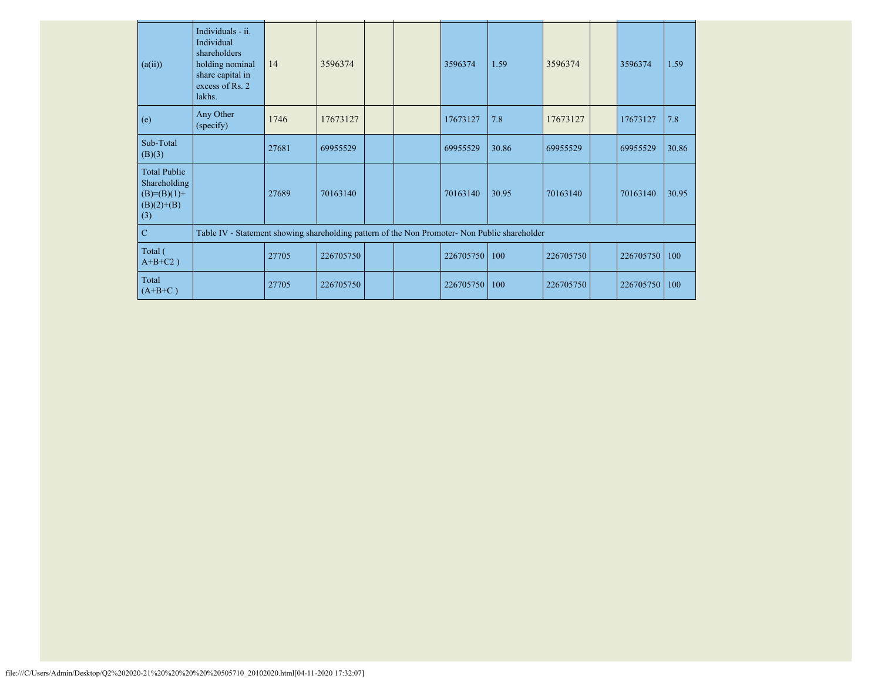| (a(ii))                                                                       | Individuals - ii.<br>Individual<br>shareholders<br>holding nominal<br>share capital in<br>excess of Rs. 2<br>lakhs. | 14    | 3596374   |  | 3596374   | 1.59  | 3596374   | 3596374   | 1.59  |
|-------------------------------------------------------------------------------|---------------------------------------------------------------------------------------------------------------------|-------|-----------|--|-----------|-------|-----------|-----------|-------|
| (e)                                                                           | Any Other<br>(specify)                                                                                              | 1746  | 17673127  |  | 17673127  | 7.8   | 17673127  | 17673127  | 7.8   |
| Sub-Total<br>(B)(3)                                                           |                                                                                                                     | 27681 | 69955529  |  | 69955529  | 30.86 | 69955529  | 69955529  | 30.86 |
| <b>Total Public</b><br>Shareholding<br>$(B)= (B)(1) +$<br>$(B)(2)+(B)$<br>(3) |                                                                                                                     | 27689 | 70163140  |  | 70163140  | 30.95 | 70163140  | 70163140  | 30.95 |
| $\mathbf C$                                                                   | Table IV - Statement showing shareholding pattern of the Non Promoter- Non Public shareholder                       |       |           |  |           |       |           |           |       |
| Total (<br>$A+B+C2$ )                                                         |                                                                                                                     | 27705 | 226705750 |  | 226705750 | 100   | 226705750 | 226705750 | 100   |
| Total<br>$(A+B+C)$                                                            |                                                                                                                     | 27705 | 226705750 |  | 226705750 | 100   | 226705750 | 226705750 | 100   |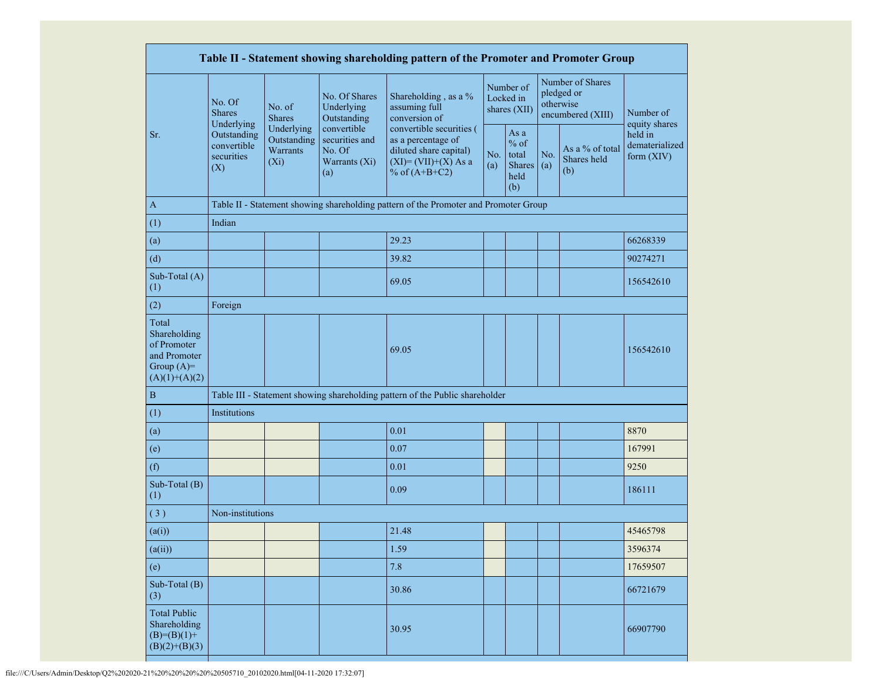|                                                                                         |                                                 |                                                         |                                                                 | Table II - Statement showing shareholding pattern of the Promoter and Promoter Group                                               |  |                                                         |            |                                                                  |                                         |
|-----------------------------------------------------------------------------------------|-------------------------------------------------|---------------------------------------------------------|-----------------------------------------------------------------|------------------------------------------------------------------------------------------------------------------------------------|--|---------------------------------------------------------|------------|------------------------------------------------------------------|-----------------------------------------|
|                                                                                         | No. Of<br><b>Shares</b><br>Underlying           | No. of<br><b>Shares</b>                                 | No. Of Shares<br>Underlying<br>Outstanding                      | Shareholding, as a %<br>assuming full<br>conversion of                                                                             |  | Number of<br>Locked in<br>shares (XII)                  |            | Number of Shares<br>pledged or<br>otherwise<br>encumbered (XIII) | Number of<br>equity shares              |
| Sr.                                                                                     | Outstanding<br>convertible<br>securities<br>(X) | Underlying<br>Outstanding<br><b>Warrants</b><br>$(X_i)$ | convertible<br>securities and<br>No. Of<br>Warrants (Xi)<br>(a) | convertible securities (<br>as a percentage of<br>diluted share capital)<br>No.<br>$(XI)=(VII)+(X) As a$<br>(a)<br>% of $(A+B+C2)$ |  | As a<br>$%$ of<br>total<br><b>Shares</b><br>held<br>(b) | No.<br>(a) | As a % of total<br>Shares held<br>(b)                            | held in<br>dematerialized<br>form (XIV) |
| $\mathbf{A}$                                                                            |                                                 |                                                         |                                                                 | Table II - Statement showing shareholding pattern of the Promoter and Promoter Group                                               |  |                                                         |            |                                                                  |                                         |
| (1)                                                                                     | Indian                                          |                                                         |                                                                 |                                                                                                                                    |  |                                                         |            |                                                                  |                                         |
| (a)                                                                                     |                                                 |                                                         |                                                                 | 29.23                                                                                                                              |  |                                                         |            |                                                                  | 66268339                                |
| (d)                                                                                     |                                                 |                                                         |                                                                 | 39.82                                                                                                                              |  |                                                         |            |                                                                  | 90274271                                |
| Sub-Total (A)<br>(1)                                                                    |                                                 |                                                         |                                                                 | 69.05                                                                                                                              |  |                                                         |            |                                                                  | 156542610                               |
| (2)                                                                                     | Foreign                                         |                                                         |                                                                 |                                                                                                                                    |  |                                                         |            |                                                                  |                                         |
| Total<br>Shareholding<br>of Promoter<br>and Promoter<br>Group $(A)=$<br>$(A)(1)+(A)(2)$ |                                                 |                                                         |                                                                 | 69.05                                                                                                                              |  |                                                         |            |                                                                  | 156542610                               |
| $\, {\bf B}$                                                                            |                                                 |                                                         |                                                                 | Table III - Statement showing shareholding pattern of the Public shareholder                                                       |  |                                                         |            |                                                                  |                                         |
| (1)                                                                                     | Institutions                                    |                                                         |                                                                 |                                                                                                                                    |  |                                                         |            |                                                                  |                                         |
| (a)                                                                                     |                                                 |                                                         |                                                                 | 0.01                                                                                                                               |  |                                                         |            |                                                                  | 8870                                    |
| (e)                                                                                     |                                                 |                                                         |                                                                 | 0.07                                                                                                                               |  |                                                         |            |                                                                  | 167991                                  |
| (f)                                                                                     |                                                 |                                                         |                                                                 | 0.01                                                                                                                               |  |                                                         |            |                                                                  | 9250                                    |
| Sub-Total (B)<br>(1)                                                                    |                                                 |                                                         |                                                                 | 0.09                                                                                                                               |  |                                                         |            |                                                                  | 186111                                  |
| (3)                                                                                     | Non-institutions                                |                                                         |                                                                 |                                                                                                                                    |  |                                                         |            |                                                                  |                                         |
| (a(i))                                                                                  |                                                 |                                                         |                                                                 | 21.48                                                                                                                              |  |                                                         |            |                                                                  | 45465798                                |
| (a(ii))                                                                                 |                                                 |                                                         |                                                                 | 1.59                                                                                                                               |  |                                                         |            |                                                                  | 3596374                                 |
| (e)                                                                                     |                                                 |                                                         |                                                                 | 7.8                                                                                                                                |  |                                                         |            |                                                                  | 17659507                                |
| Sub-Total (B)<br>(3)                                                                    |                                                 |                                                         |                                                                 | 30.86                                                                                                                              |  |                                                         |            |                                                                  | 66721679                                |
| <b>Total Public</b><br>Shareholding<br>$(B)=(B)(1)+$<br>$(B)(2)+(B)(3)$                 |                                                 |                                                         |                                                                 | 30.95                                                                                                                              |  |                                                         |            |                                                                  | 66907790                                |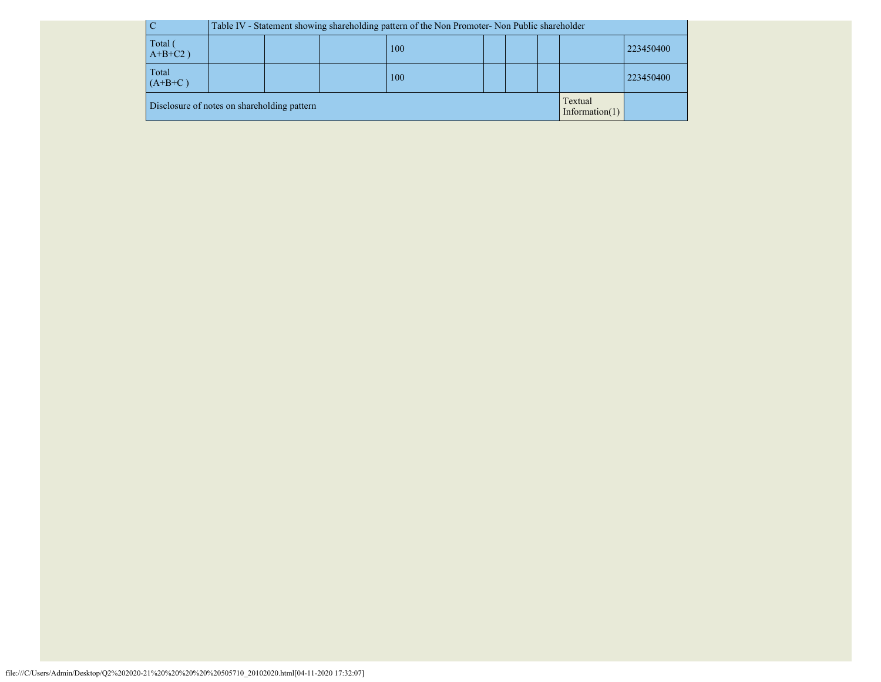|                       |                                             |                  | Table IV - Statement showing shareholding pattern of the Non Promoter- Non Public shareholder |  |  |  |  |  |                              |           |
|-----------------------|---------------------------------------------|------------------|-----------------------------------------------------------------------------------------------|--|--|--|--|--|------------------------------|-----------|
| Total (<br>$A+B+C2$ ) |                                             | 100              |                                                                                               |  |  |  |  |  |                              | 223450400 |
| Total<br>$(A+B+C)$    |                                             | 223450400<br>100 |                                                                                               |  |  |  |  |  |                              |           |
|                       | Disclosure of notes on shareholding pattern |                  |                                                                                               |  |  |  |  |  | Textual<br>Information $(1)$ |           |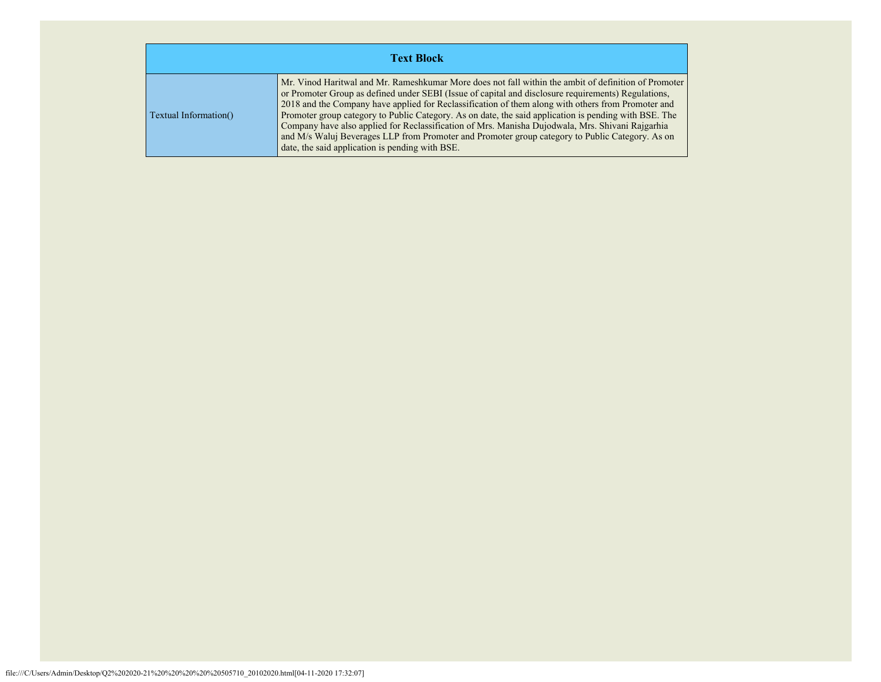| <b>Text Block</b>     |                                                                                                                                                                                                                                                                                                                                                                                                                                                                                                                                                                                                                                                                                      |  |  |  |  |  |  |  |
|-----------------------|--------------------------------------------------------------------------------------------------------------------------------------------------------------------------------------------------------------------------------------------------------------------------------------------------------------------------------------------------------------------------------------------------------------------------------------------------------------------------------------------------------------------------------------------------------------------------------------------------------------------------------------------------------------------------------------|--|--|--|--|--|--|--|
| Textual Information() | Mr. Vinod Haritwal and Mr. Rameshkumar More does not fall within the ambit of definition of Promoter<br>or Promoter Group as defined under SEBI (Issue of capital and disclosure requirements) Regulations,<br>2018 and the Company have applied for Reclassification of them along with others from Promoter and<br>Promoter group category to Public Category. As on date, the said application is pending with BSE. The<br>Company have also applied for Reclassification of Mrs. Manisha Dujodwala, Mrs. Shivani Rajgarhia<br>and M/s Waluj Beverages LLP from Promoter and Promoter group category to Public Category. As on<br>date, the said application is pending with BSE. |  |  |  |  |  |  |  |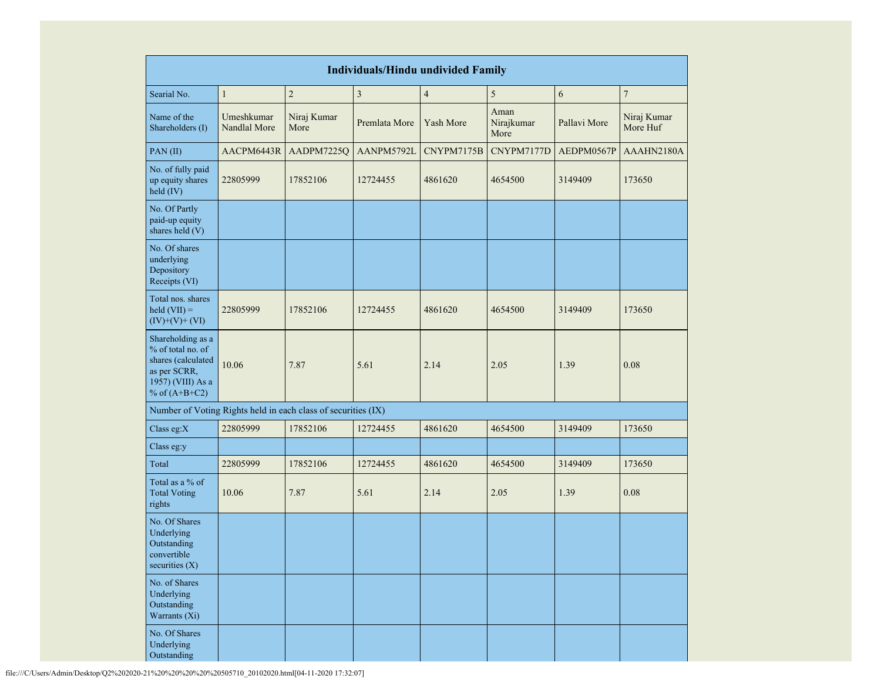| <b>Individuals/Hindu undivided Family</b>                                                                            |                            |                     |                         |                         |                            |              |                         |  |  |
|----------------------------------------------------------------------------------------------------------------------|----------------------------|---------------------|-------------------------|-------------------------|----------------------------|--------------|-------------------------|--|--|
| Searial No.                                                                                                          | $\mathbf{1}$               | $\overline{c}$      | $\overline{\mathbf{3}}$ | $\overline{\mathbf{4}}$ | 5                          | 6            | $\boldsymbol{7}$        |  |  |
| Name of the<br>Shareholders (I)                                                                                      | Umeshkumar<br>Nandlal More | Niraj Kumar<br>More | Premlata More           | Yash More               | Aman<br>Nirajkumar<br>More | Pallavi More | Niraj Kumar<br>More Huf |  |  |
| PAN(II)                                                                                                              | AACPM6443R                 | AADPM7225Q          | AANPM5792L              | CNYPM7175B              | CNYPM7177D                 | AEDPM0567P   | AAAHN2180A              |  |  |
| No. of fully paid<br>up equity shares<br>held (IV)                                                                   | 22805999                   | 17852106            | 12724455                | 4861620                 | 4654500                    | 3149409      | 173650                  |  |  |
| No. Of Partly<br>paid-up equity<br>shares held (V)                                                                   |                            |                     |                         |                         |                            |              |                         |  |  |
| No. Of shares<br>underlying<br>Depository<br>Receipts (VI)                                                           |                            |                     |                         |                         |                            |              |                         |  |  |
| Total nos. shares<br>$\text{held (VII)} =$<br>$(IV)+(V)+(VI)$                                                        | 22805999                   | 17852106            | 12724455                | 4861620                 | 4654500                    | 3149409      | 173650                  |  |  |
| Shareholding as a<br>% of total no. of<br>shares (calculated<br>as per SCRR,<br>1957) (VIII) As a<br>% of $(A+B+C2)$ | 10.06                      | 7.87                | 5.61                    | 2.14                    | 2.05                       | 1.39         | 0.08                    |  |  |
| Number of Voting Rights held in each class of securities (IX)                                                        |                            |                     |                         |                         |                            |              |                         |  |  |
| Class eg:X                                                                                                           | 22805999                   | 17852106            | 12724455                | 4861620                 | 4654500                    | 3149409      | 173650                  |  |  |
| Class eg:y                                                                                                           |                            |                     |                         |                         |                            |              |                         |  |  |
| Total                                                                                                                | 22805999                   | 17852106            | 12724455                | 4861620                 | 4654500                    | 3149409      | 173650                  |  |  |
| Total as a % of<br><b>Total Voting</b><br>rights                                                                     | 10.06                      | 7.87                | 5.61                    | 2.14                    | 2.05                       | 1.39         | 0.08                    |  |  |
| No. Of Shares<br>Underlying<br>Outstanding<br>convertible<br>securities $(X)$                                        |                            |                     |                         |                         |                            |              |                         |  |  |
| No. of Shares<br>Underlying<br>Outstanding<br>Warrants (Xi)                                                          |                            |                     |                         |                         |                            |              |                         |  |  |
| No. Of Shares<br>Underlying<br>Outstanding                                                                           |                            |                     |                         |                         |                            |              |                         |  |  |

file:///C/Users/Admin/Desktop/Q2%202020-21%20%20%20%20%20505710\_20102020.html[04-11-2020 17:32:07]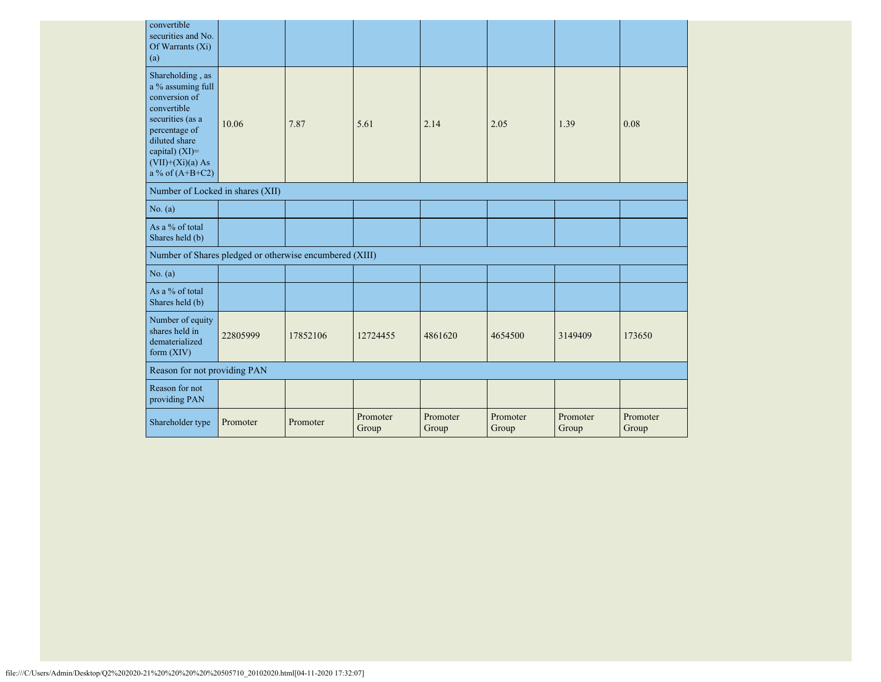| convertible<br>securities and No.<br>Of Warrants $(X_i)$<br>(a)                                                                                                                          |          |          |                   |                   |                   |                   |                   |
|------------------------------------------------------------------------------------------------------------------------------------------------------------------------------------------|----------|----------|-------------------|-------------------|-------------------|-------------------|-------------------|
| Shareholding, as<br>a % assuming full<br>conversion of<br>convertible<br>securities (as a<br>percentage of<br>diluted share<br>capital) (XI)=<br>$(VII)+(Xi)(a) As$<br>a % of $(A+B+C2)$ | 10.06    | 7.87     | 5.61              | 2.14              | 2.05              | 1.39              | 0.08              |
| Number of Locked in shares (XII)                                                                                                                                                         |          |          |                   |                   |                   |                   |                   |
| No. (a)                                                                                                                                                                                  |          |          |                   |                   |                   |                   |                   |
| As a % of total<br>Shares held (b)                                                                                                                                                       |          |          |                   |                   |                   |                   |                   |
| Number of Shares pledged or otherwise encumbered (XIII)                                                                                                                                  |          |          |                   |                   |                   |                   |                   |
| No. (a)                                                                                                                                                                                  |          |          |                   |                   |                   |                   |                   |
| As a % of total<br>Shares held (b)                                                                                                                                                       |          |          |                   |                   |                   |                   |                   |
| Number of equity<br>shares held in<br>dematerialized<br>form $(XIV)$                                                                                                                     | 22805999 | 17852106 | 12724455          | 4861620           | 4654500           | 3149409           | 173650            |
| Reason for not providing PAN                                                                                                                                                             |          |          |                   |                   |                   |                   |                   |
| Reason for not<br>providing PAN                                                                                                                                                          |          |          |                   |                   |                   |                   |                   |
| Shareholder type                                                                                                                                                                         | Promoter | Promoter | Promoter<br>Group | Promoter<br>Group | Promoter<br>Group | Promoter<br>Group | Promoter<br>Group |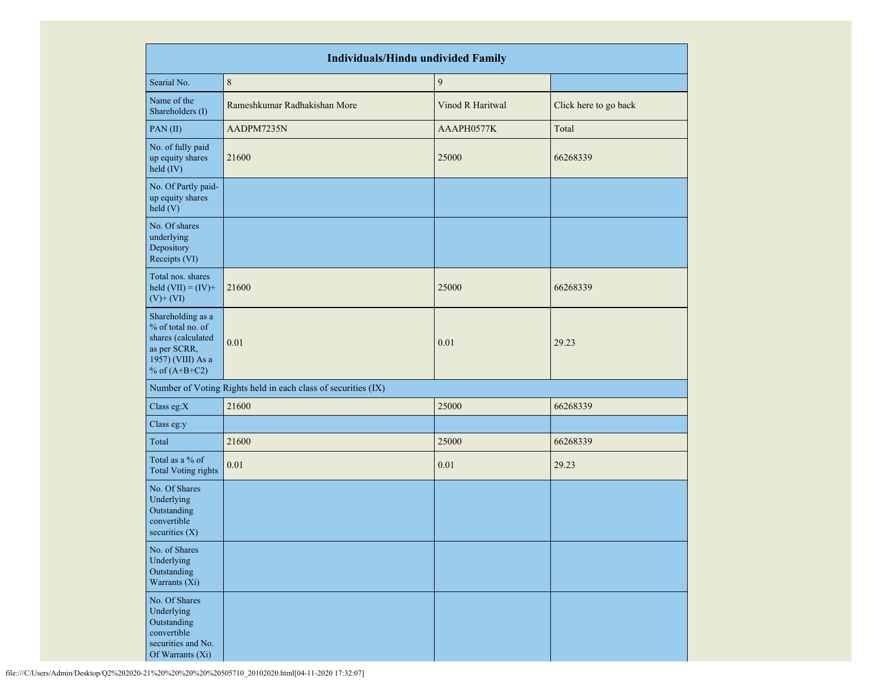|                                                                                                                      | <b>Individuals/Hindu undivided Family</b>                     |                  |                       |  |  |  |  |  |  |  |
|----------------------------------------------------------------------------------------------------------------------|---------------------------------------------------------------|------------------|-----------------------|--|--|--|--|--|--|--|
| Searial No.                                                                                                          | $\,8\,$                                                       | $\boldsymbol{9}$ |                       |  |  |  |  |  |  |  |
| Name of the<br>Shareholders (I)                                                                                      | Rameshkumar Radhakishan More                                  | Vinod R Haritwal | Click here to go back |  |  |  |  |  |  |  |
| PAN (II)                                                                                                             | AADPM7235N                                                    | AAAPH0577K       | Total                 |  |  |  |  |  |  |  |
| No. of fully paid<br>up equity shares<br>held (IV)                                                                   | 21600                                                         | 25000            | 66268339              |  |  |  |  |  |  |  |
| No. Of Partly paid-<br>up equity shares<br>held (V)                                                                  |                                                               |                  |                       |  |  |  |  |  |  |  |
| No. Of shares<br>underlying<br>Depository<br>Receipts (VI)                                                           |                                                               |                  |                       |  |  |  |  |  |  |  |
| Total nos. shares<br>held $(VII) = (IV) +$<br>$(V)$ + $(VI)$                                                         | 21600                                                         | 25000            | 66268339              |  |  |  |  |  |  |  |
| Shareholding as a<br>% of total no. of<br>shares (calculated<br>as per SCRR,<br>1957) (VIII) As a<br>% of $(A+B+C2)$ | 0.01                                                          | 0.01             | 29.23                 |  |  |  |  |  |  |  |
|                                                                                                                      | Number of Voting Rights held in each class of securities (IX) |                  |                       |  |  |  |  |  |  |  |
| Class eg:X                                                                                                           | 21600                                                         | 25000            | 66268339              |  |  |  |  |  |  |  |
| Class eg:y                                                                                                           |                                                               |                  |                       |  |  |  |  |  |  |  |
| Total                                                                                                                | 21600                                                         | 25000            | 66268339              |  |  |  |  |  |  |  |
| Total as a % of<br><b>Total Voting rights</b>                                                                        | 0.01                                                          | 0.01             | 29.23                 |  |  |  |  |  |  |  |
| No. Of Shares<br>Underlying<br>Outstanding<br>convertible<br>securities $(X)$                                        |                                                               |                  |                       |  |  |  |  |  |  |  |
| No. of Shares<br>Underlying<br>Outstanding<br>Warrants (Xi)                                                          |                                                               |                  |                       |  |  |  |  |  |  |  |
| No. Of Shares<br>Underlying<br>Outstanding<br>convertible<br>securities and No.<br>Of Warrants (Xi)                  |                                                               |                  |                       |  |  |  |  |  |  |  |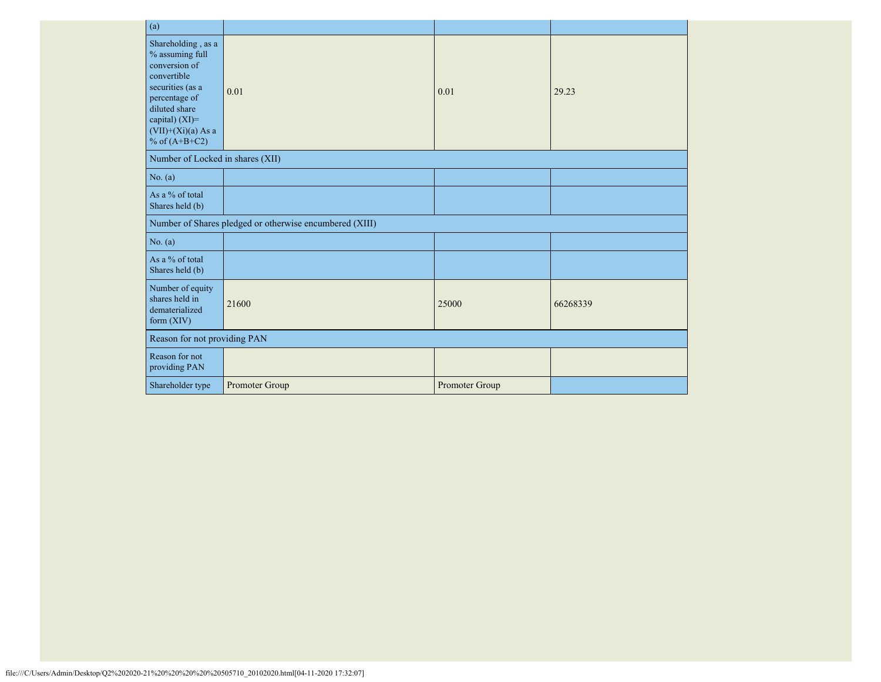| (a)                                                                                                                                                                                      |                                                         |                |          |  |  |  |  |  |
|------------------------------------------------------------------------------------------------------------------------------------------------------------------------------------------|---------------------------------------------------------|----------------|----------|--|--|--|--|--|
| Shareholding, as a<br>% assuming full<br>conversion of<br>convertible<br>securities (as a<br>percentage of<br>diluted share<br>capital) (XI)=<br>$(VII)+(Xi)(a)$ As a<br>% of $(A+B+C2)$ | 0.01                                                    | 0.01           | 29.23    |  |  |  |  |  |
| Number of Locked in shares (XII)                                                                                                                                                         |                                                         |                |          |  |  |  |  |  |
| No. (a)                                                                                                                                                                                  |                                                         |                |          |  |  |  |  |  |
| As a % of total<br>Shares held (b)                                                                                                                                                       |                                                         |                |          |  |  |  |  |  |
|                                                                                                                                                                                          | Number of Shares pledged or otherwise encumbered (XIII) |                |          |  |  |  |  |  |
| No. (a)                                                                                                                                                                                  |                                                         |                |          |  |  |  |  |  |
| As a % of total<br>Shares held (b)                                                                                                                                                       |                                                         |                |          |  |  |  |  |  |
| Number of equity<br>shares held in<br>dematerialized<br>form $(XIV)$                                                                                                                     | 21600                                                   | 25000          | 66268339 |  |  |  |  |  |
| Reason for not providing PAN                                                                                                                                                             |                                                         |                |          |  |  |  |  |  |
| Reason for not<br>providing PAN                                                                                                                                                          |                                                         |                |          |  |  |  |  |  |
| Shareholder type                                                                                                                                                                         | Promoter Group                                          | Promoter Group |          |  |  |  |  |  |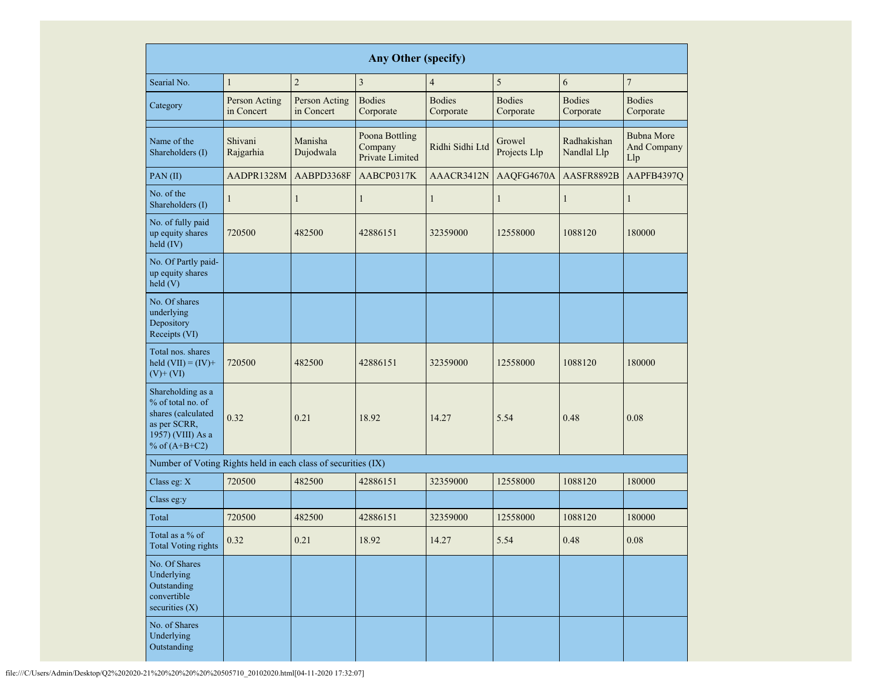|                                                                                                                      | Any Other (specify)         |                             |                                                     |                            |                            |                                                      |                            |  |  |  |  |  |  |
|----------------------------------------------------------------------------------------------------------------------|-----------------------------|-----------------------------|-----------------------------------------------------|----------------------------|----------------------------|------------------------------------------------------|----------------------------|--|--|--|--|--|--|
| Searial No.                                                                                                          | $\mathbf{1}$                | $\overline{2}$              | 3                                                   | $\overline{4}$             | 5                          | 6                                                    | $\sqrt{ }$                 |  |  |  |  |  |  |
| Category                                                                                                             | Person Acting<br>in Concert | Person Acting<br>in Concert | <b>Bodies</b><br>Corporate                          | <b>Bodies</b><br>Corporate | <b>Bodies</b><br>Corporate | <b>Bodies</b><br>Corporate                           | <b>Bodies</b><br>Corporate |  |  |  |  |  |  |
| Name of the<br>Shareholders (I)                                                                                      | Shivani<br>Rajgarhia        | Manisha<br>Dujodwala        | <b>Poona Bottling</b><br>Company<br>Private Limited | Ridhi Sidhi Ltd            |                            | Radhakishan<br>Growel<br>Projects Llp<br>Nandlal Llp |                            |  |  |  |  |  |  |
| PAN(II)                                                                                                              | AADPR1328M                  | AABPD3368F                  | AABCP0317K                                          | AAACR3412N                 | AAQFG4670A                 | AASFR8892B                                           | AAPFB4397Q                 |  |  |  |  |  |  |
| No. of the<br>Shareholders (I)                                                                                       | $\mathbf{1}$                | $\mathbf{1}$                | $\mathbf{1}$                                        | $\mathbf{1}$               | $\mathbf{1}$               | $\mathbf{1}$                                         | 1                          |  |  |  |  |  |  |
| No. of fully paid<br>up equity shares<br>held (IV)                                                                   | 720500                      | 482500                      | 42886151                                            | 32359000                   | 12558000                   | 1088120                                              | 180000                     |  |  |  |  |  |  |
| No. Of Partly paid-<br>up equity shares<br>held(V)                                                                   |                             |                             |                                                     |                            |                            |                                                      |                            |  |  |  |  |  |  |
| No. Of shares<br>underlying<br>Depository<br>Receipts (VI)                                                           |                             |                             |                                                     |                            |                            |                                                      |                            |  |  |  |  |  |  |
| Total nos. shares<br>held $(VII) = (IV) +$<br>$(V)$ + $(VI)$                                                         | 720500                      | 482500                      | 42886151                                            | 32359000                   | 12558000                   | 1088120                                              | 180000                     |  |  |  |  |  |  |
| Shareholding as a<br>% of total no. of<br>shares (calculated<br>as per SCRR,<br>1957) (VIII) As a<br>% of $(A+B+C2)$ | 0.32                        |                             | 18.92                                               | 14.27                      | 5.54                       | 0.48                                                 | 0.08                       |  |  |  |  |  |  |
| Number of Voting Rights held in each class of securities (IX)                                                        |                             |                             |                                                     |                            |                            |                                                      |                            |  |  |  |  |  |  |
| Class eg: X                                                                                                          | 720500                      | 482500                      | 42886151                                            | 32359000                   | 12558000                   | 1088120                                              | 180000                     |  |  |  |  |  |  |
| Class eg:y                                                                                                           |                             |                             |                                                     |                            |                            |                                                      |                            |  |  |  |  |  |  |
| Total                                                                                                                | 720500                      | 482500                      | 42886151                                            | 32359000                   | 12558000                   | 1088120                                              | 180000                     |  |  |  |  |  |  |
| Total as a % of<br><b>Total Voting rights</b>                                                                        | 0.32                        | 0.21                        | 18.92                                               | 14.27                      | 5.54                       | 0.48                                                 | $0.08\,$                   |  |  |  |  |  |  |
| No. Of Shares<br>Underlying<br>Outstanding<br>convertible<br>securities $(X)$                                        |                             |                             |                                                     |                            |                            |                                                      |                            |  |  |  |  |  |  |
| No. of Shares<br>Underlying<br>Outstanding                                                                           |                             |                             |                                                     |                            |                            |                                                      |                            |  |  |  |  |  |  |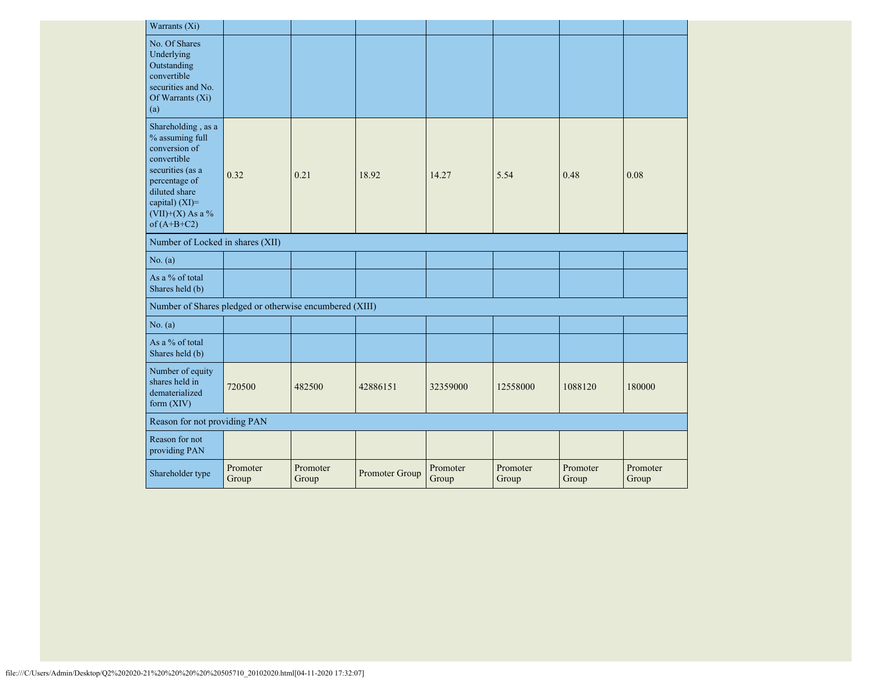| Warrants (Xi)                                                                                                                                                                      |                   |                   |                |                   |                   |                   |                   |
|------------------------------------------------------------------------------------------------------------------------------------------------------------------------------------|-------------------|-------------------|----------------|-------------------|-------------------|-------------------|-------------------|
| No. Of Shares<br>Underlying<br>Outstanding<br>convertible<br>securities and No.<br>Of Warrants (Xi)<br>(a)                                                                         |                   |                   |                |                   |                   |                   |                   |
| Shareholding, as a<br>% assuming full<br>conversion of<br>convertible<br>securities (as a<br>percentage of<br>diluted share<br>capital) (XI)=<br>(VII)+(X) As a %<br>of $(A+B+C2)$ | 0.32              | 0.21              | 18.92          | 14.27             | 5.54              | 0.48              | 0.08              |
| Number of Locked in shares (XII)                                                                                                                                                   |                   |                   |                |                   |                   |                   |                   |
| No. (a)                                                                                                                                                                            |                   |                   |                |                   |                   |                   |                   |
| As a % of total<br>Shares held (b)                                                                                                                                                 |                   |                   |                |                   |                   |                   |                   |
| Number of Shares pledged or otherwise encumbered (XIII)                                                                                                                            |                   |                   |                |                   |                   |                   |                   |
| No. (a)                                                                                                                                                                            |                   |                   |                |                   |                   |                   |                   |
| As a % of total<br>Shares held (b)                                                                                                                                                 |                   |                   |                |                   |                   |                   |                   |
| Number of equity<br>shares held in<br>dematerialized<br>form $(XIV)$                                                                                                               | 720500            | 482500            | 42886151       | 32359000          | 12558000          | 1088120           | 180000            |
| Reason for not providing PAN                                                                                                                                                       |                   |                   |                |                   |                   |                   |                   |
| Reason for not<br>providing PAN                                                                                                                                                    |                   |                   |                |                   |                   |                   |                   |
| Shareholder type                                                                                                                                                                   | Promoter<br>Group | Promoter<br>Group | Promoter Group | Promoter<br>Group | Promoter<br>Group | Promoter<br>Group | Promoter<br>Group |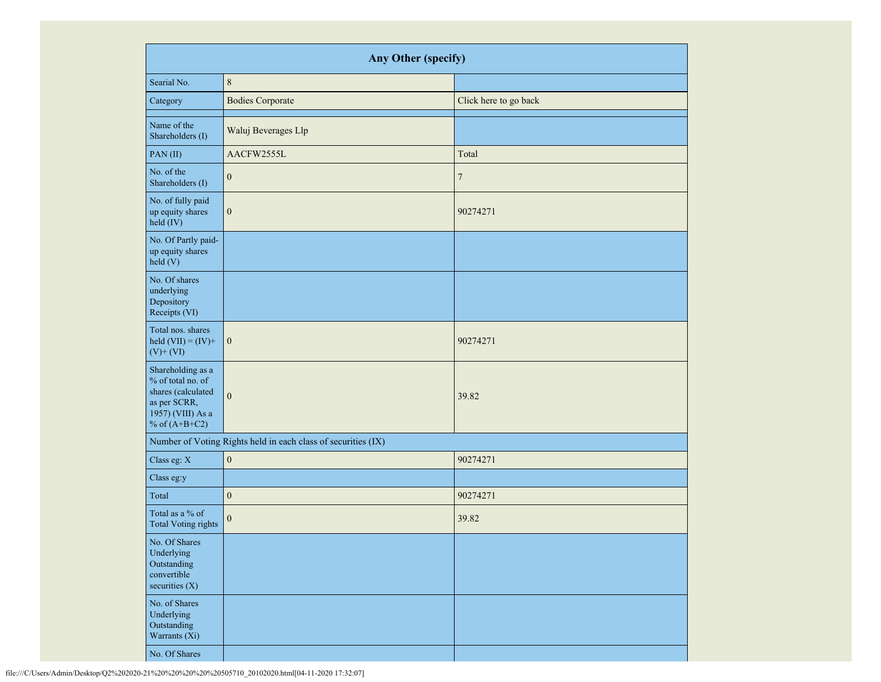|                                                                                                                      | Any Other (specify)                                           |                       |
|----------------------------------------------------------------------------------------------------------------------|---------------------------------------------------------------|-----------------------|
| Searial No.                                                                                                          | $\,8\,$                                                       |                       |
| Category                                                                                                             | <b>Bodies Corporate</b>                                       | Click here to go back |
| Name of the<br>Shareholders (I)                                                                                      | Waluj Beverages Llp                                           |                       |
| PAN(II)                                                                                                              | AACFW2555L                                                    | Total                 |
| No. of the<br>Shareholders (I)                                                                                       | $\mathbf{0}$                                                  | $\tau$                |
| No. of fully paid<br>up equity shares<br>held (IV)                                                                   | $\boldsymbol{0}$                                              | 90274271              |
| No. Of Partly paid-<br>up equity shares<br>held (V)                                                                  |                                                               |                       |
| No. Of shares<br>underlying<br>Depository<br>Receipts (VI)                                                           |                                                               |                       |
| Total nos. shares<br>held $(VII) = (IV) +$<br>$(V)$ + $(VI)$                                                         | $\boldsymbol{0}$                                              | 90274271              |
| Shareholding as a<br>% of total no. of<br>shares (calculated<br>as per SCRR,<br>1957) (VIII) As a<br>% of $(A+B+C2)$ | $\mathbf{0}$                                                  | 39.82                 |
|                                                                                                                      | Number of Voting Rights held in each class of securities (IX) |                       |
| Class eg: X                                                                                                          | $\boldsymbol{0}$                                              | 90274271              |
| Class eg:y                                                                                                           |                                                               |                       |
| Total                                                                                                                | $\boldsymbol{0}$                                              | 90274271              |
| Total as a % of<br><b>Total Voting rights</b>                                                                        | $\boldsymbol{0}$                                              | 39.82                 |
| No. Of Shares<br>Underlying<br>Outstanding<br>convertible<br>securities $(X)$                                        |                                                               |                       |
| No. of Shares<br>Underlying<br>Outstanding<br>Warrants (Xi)                                                          |                                                               |                       |
| No. Of Shares                                                                                                        |                                                               |                       |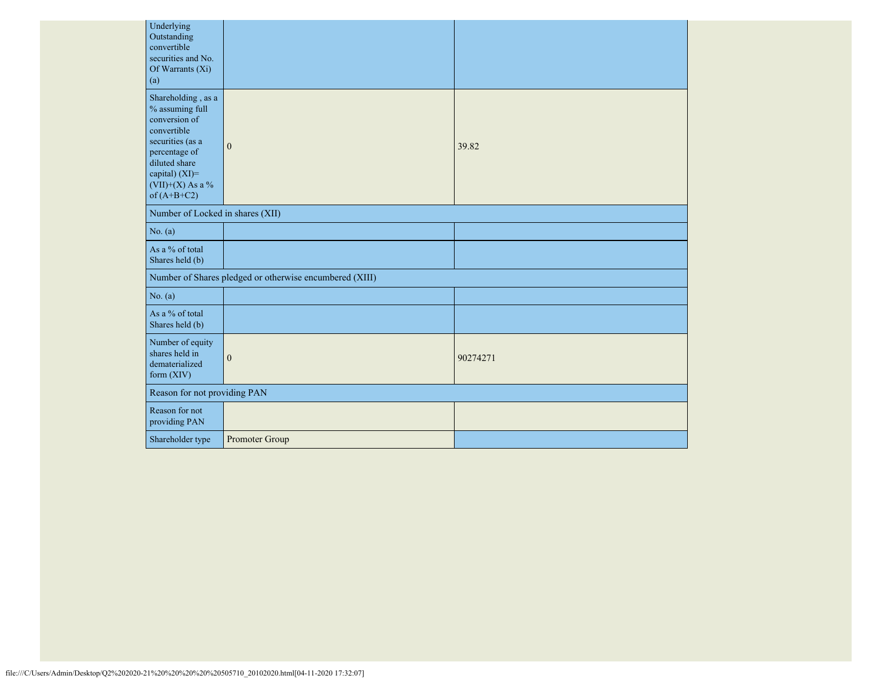| Underlying<br>Outstanding<br>convertible<br>securities and No.<br>Of Warrants (Xi)<br>(a)                                                                                            |                                                         |          |
|--------------------------------------------------------------------------------------------------------------------------------------------------------------------------------------|---------------------------------------------------------|----------|
| Shareholding, as a<br>% assuming full<br>conversion of<br>convertible<br>securities (as a<br>percentage of<br>diluted share<br>capital) (XI)=<br>$(VII)+(X)$ As a %<br>of $(A+B+C2)$ | $\mathbf{0}$                                            | 39.82    |
| Number of Locked in shares (XII)                                                                                                                                                     |                                                         |          |
| No. (a)                                                                                                                                                                              |                                                         |          |
| As a % of total<br>Shares held (b)                                                                                                                                                   |                                                         |          |
|                                                                                                                                                                                      | Number of Shares pledged or otherwise encumbered (XIII) |          |
| No. (a)                                                                                                                                                                              |                                                         |          |
| As a % of total<br>Shares held (b)                                                                                                                                                   |                                                         |          |
| Number of equity<br>shares held in<br>dematerialized<br>form $(XIV)$                                                                                                                 | $\mathbf{0}$                                            | 90274271 |
| Reason for not providing PAN                                                                                                                                                         |                                                         |          |
| Reason for not<br>providing PAN                                                                                                                                                      |                                                         |          |
| Shareholder type                                                                                                                                                                     | Promoter Group                                          |          |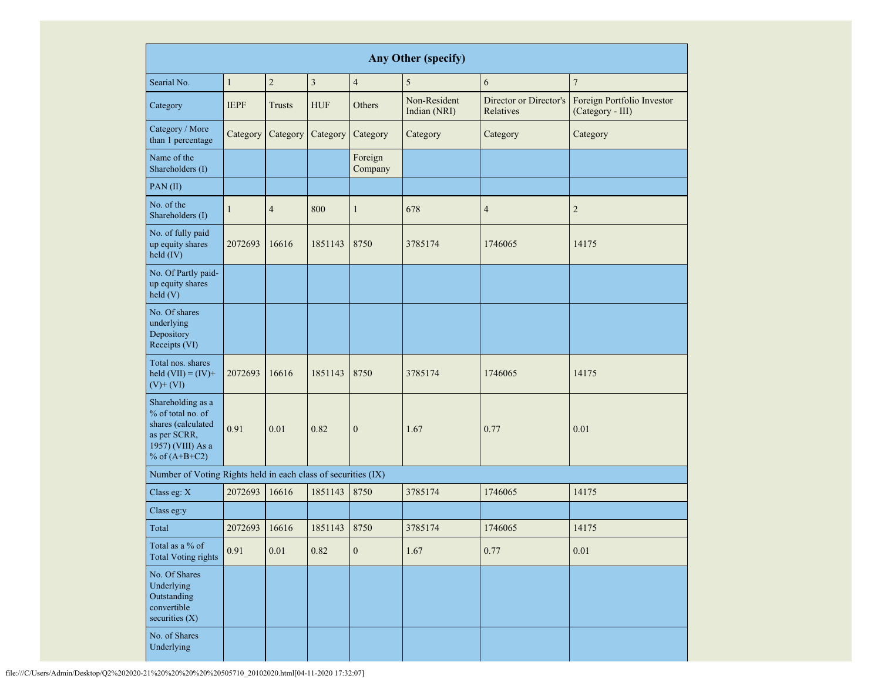|                                                                                                                      | Any Other (specify)                          |                |            |                    |                              |                                     |                                                |  |  |  |  |  |
|----------------------------------------------------------------------------------------------------------------------|----------------------------------------------|----------------|------------|--------------------|------------------------------|-------------------------------------|------------------------------------------------|--|--|--|--|--|
| Searial No.                                                                                                          | $\sqrt{2}$<br>$\overline{3}$<br>$\mathbf{1}$ |                |            |                    | 5                            | 6                                   | $\overline{7}$                                 |  |  |  |  |  |
| Category                                                                                                             | <b>IEPF</b>                                  | Trusts         | <b>HUF</b> | Others             | Non-Resident<br>Indian (NRI) | Director or Director's<br>Relatives | Foreign Portfolio Investor<br>(Category - III) |  |  |  |  |  |
| Category / More<br>than 1 percentage                                                                                 | Category                                     | Category       | Category   | Category           | Category                     | Category                            | Category                                       |  |  |  |  |  |
| Name of the<br>Shareholders (I)                                                                                      |                                              |                |            | Foreign<br>Company |                              |                                     |                                                |  |  |  |  |  |
| PAN(II)                                                                                                              |                                              |                |            |                    |                              |                                     |                                                |  |  |  |  |  |
| No. of the<br>Shareholders (I)                                                                                       | 1                                            | $\overline{4}$ | 800        | $\mathbf{1}$       | 678                          | $\overline{4}$                      | $\overline{c}$                                 |  |  |  |  |  |
| No. of fully paid<br>up equity shares<br>held (IV)                                                                   | 2072693                                      | 16616          | 1851143    | 8750               | 3785174                      | 1746065                             | 14175                                          |  |  |  |  |  |
| No. Of Partly paid-<br>up equity shares<br>held(V)                                                                   |                                              |                |            |                    |                              |                                     |                                                |  |  |  |  |  |
| No. Of shares<br>underlying<br>Depository<br>Receipts (VI)                                                           |                                              |                |            |                    |                              |                                     |                                                |  |  |  |  |  |
| Total nos. shares<br>held $(VII) = (IV) +$<br>$(V)$ + $(VI)$                                                         | 2072693                                      | 16616          | 1851143    | 8750               | 3785174                      | 1746065                             | 14175                                          |  |  |  |  |  |
| Shareholding as a<br>% of total no. of<br>shares (calculated<br>as per SCRR,<br>1957) (VIII) As a<br>% of $(A+B+C2)$ | 0.91                                         | 0.01           | 0.82       | $\boldsymbol{0}$   | 1.67                         | 0.77                                | 0.01                                           |  |  |  |  |  |
| Number of Voting Rights held in each class of securities (IX)                                                        |                                              |                |            |                    |                              |                                     |                                                |  |  |  |  |  |
| Class eg: X                                                                                                          | 2072693                                      | 16616          | 1851143    | 8750               | 3785174                      | 1746065                             | 14175                                          |  |  |  |  |  |
| Class eg:y                                                                                                           |                                              |                |            |                    |                              |                                     |                                                |  |  |  |  |  |
| Total                                                                                                                | 2072693                                      | 16616          | 1851143    | 8750               | 3785174                      | 1746065                             | 14175                                          |  |  |  |  |  |
| Total as a % of<br><b>Total Voting rights</b>                                                                        | 0.91                                         | $0.01\,$       | 0.82       | $\boldsymbol{0}$   | 1.67                         | 0.77                                | 0.01                                           |  |  |  |  |  |
| No. Of Shares<br>Underlying<br>Outstanding<br>convertible<br>securities (X)                                          |                                              |                |            |                    |                              |                                     |                                                |  |  |  |  |  |
| No. of Shares<br>Underlying                                                                                          |                                              |                |            |                    |                              |                                     |                                                |  |  |  |  |  |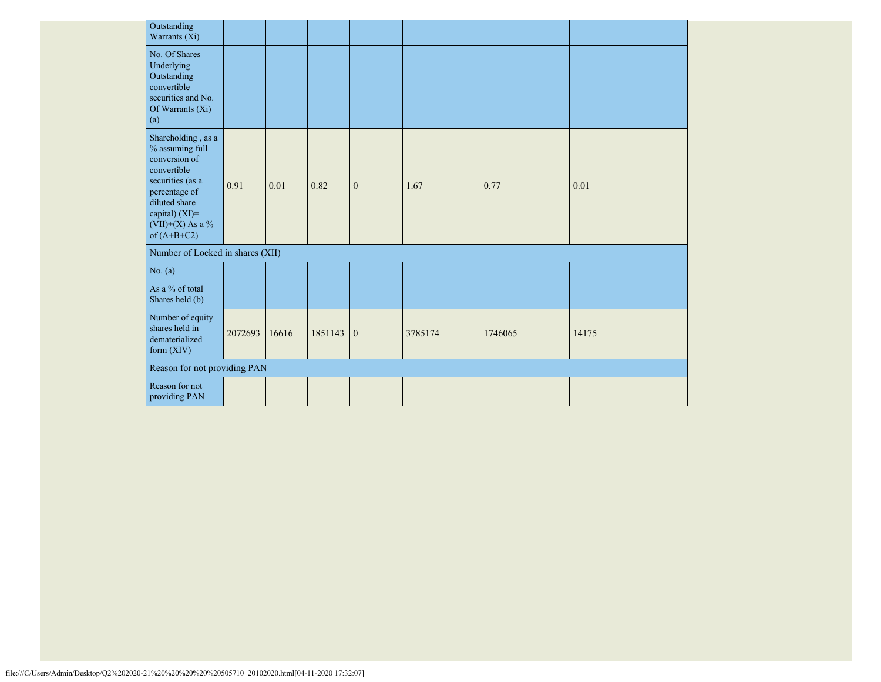| Outstanding<br>Warrants (Xi)                                                                                                                                                            |         |       |         |                |         |         |       |
|-----------------------------------------------------------------------------------------------------------------------------------------------------------------------------------------|---------|-------|---------|----------------|---------|---------|-------|
| No. Of Shares<br>Underlying<br>Outstanding<br>convertible<br>securities and No.<br>Of Warrants (Xi)<br>(a)                                                                              |         |       |         |                |         |         |       |
| Shareholding, as a<br>$\%$ assuming full<br>conversion of<br>convertible<br>securities (as a<br>percentage of<br>diluted share<br>capital) (XI)=<br>$(VII)+(X)$ As a %<br>of $(A+B+C2)$ | 0.91    | 0.01  | 0.82    | $\mathbf{0}$   | 1.67    | 0.77    | 0.01  |
| Number of Locked in shares (XII)                                                                                                                                                        |         |       |         |                |         |         |       |
| No. (a)                                                                                                                                                                                 |         |       |         |                |         |         |       |
| As a % of total<br>Shares held (b)                                                                                                                                                      |         |       |         |                |         |         |       |
| Number of equity<br>shares held in<br>dematerialized<br>form $(XIV)$                                                                                                                    | 2072693 | 16616 | 1851143 | $\overline{0}$ | 3785174 | 1746065 | 14175 |
| Reason for not providing PAN                                                                                                                                                            |         |       |         |                |         |         |       |
| Reason for not<br>providing PAN                                                                                                                                                         |         |       |         |                |         |         |       |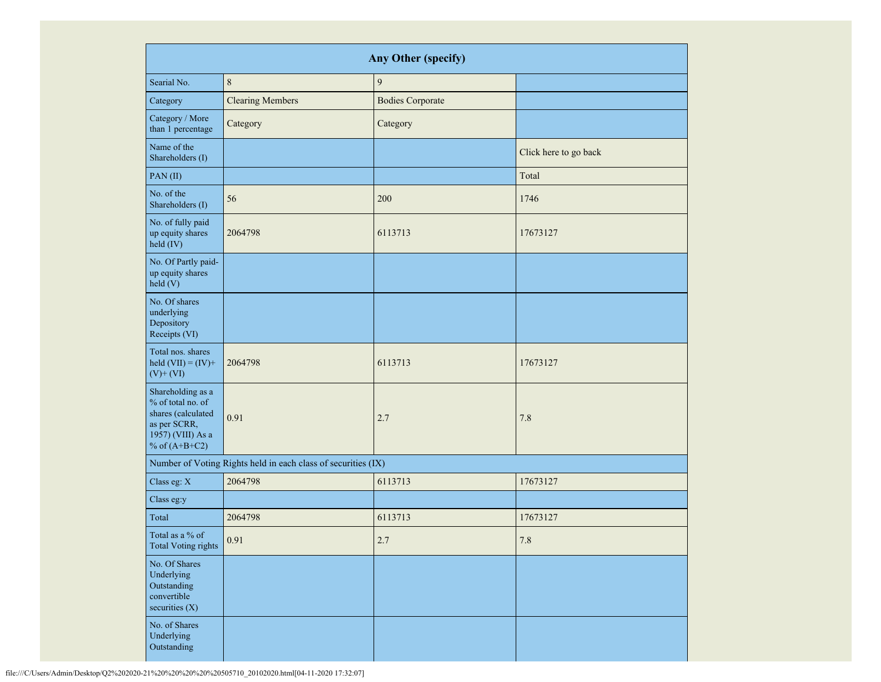|                                                                                                                      | <b>Any Other (specify)</b>                                    |                         |                       |  |  |  |  |  |  |  |  |  |
|----------------------------------------------------------------------------------------------------------------------|---------------------------------------------------------------|-------------------------|-----------------------|--|--|--|--|--|--|--|--|--|
| Searial No.                                                                                                          | $\,8\,$                                                       | $\overline{9}$          |                       |  |  |  |  |  |  |  |  |  |
| Category                                                                                                             | <b>Clearing Members</b>                                       | <b>Bodies Corporate</b> |                       |  |  |  |  |  |  |  |  |  |
| Category / More<br>than 1 percentage                                                                                 | Category                                                      | Category                |                       |  |  |  |  |  |  |  |  |  |
| Name of the<br>Shareholders (I)                                                                                      |                                                               |                         | Click here to go back |  |  |  |  |  |  |  |  |  |
| PAN(II)                                                                                                              |                                                               |                         | Total                 |  |  |  |  |  |  |  |  |  |
| No. of the<br>Shareholders (I)                                                                                       | 56                                                            | 200                     | 1746                  |  |  |  |  |  |  |  |  |  |
| No. of fully paid<br>up equity shares<br>held (IV)                                                                   | 2064798                                                       | 6113713                 | 17673127              |  |  |  |  |  |  |  |  |  |
| No. Of Partly paid-<br>up equity shares<br>held(V)                                                                   |                                                               |                         |                       |  |  |  |  |  |  |  |  |  |
| No. Of shares<br>underlying<br>Depository<br>Receipts (VI)                                                           |                                                               |                         |                       |  |  |  |  |  |  |  |  |  |
| Total nos. shares<br>held $(VII) = (IV) +$<br>$(V)$ + $(VI)$                                                         | 2064798                                                       | 6113713                 | 17673127              |  |  |  |  |  |  |  |  |  |
| Shareholding as a<br>% of total no. of<br>shares (calculated<br>as per SCRR,<br>1957) (VIII) As a<br>% of $(A+B+C2)$ | 0.91                                                          | 2.7                     | 7.8                   |  |  |  |  |  |  |  |  |  |
|                                                                                                                      | Number of Voting Rights held in each class of securities (IX) |                         |                       |  |  |  |  |  |  |  |  |  |
| Class eg: X                                                                                                          | 2064798                                                       | 6113713                 | 17673127              |  |  |  |  |  |  |  |  |  |
| Class eg:y                                                                                                           |                                                               |                         |                       |  |  |  |  |  |  |  |  |  |
| Total                                                                                                                | 2064798                                                       | 6113713                 | 17673127              |  |  |  |  |  |  |  |  |  |
| Total as a % of<br><b>Total Voting rights</b>                                                                        | 0.91                                                          | $2.7\,$                 | $7.8\,$               |  |  |  |  |  |  |  |  |  |
| No. Of Shares<br>Underlying<br>Outstanding<br>convertible<br>securities (X)                                          |                                                               |                         |                       |  |  |  |  |  |  |  |  |  |
| No. of Shares<br>Underlying<br>Outstanding                                                                           |                                                               |                         |                       |  |  |  |  |  |  |  |  |  |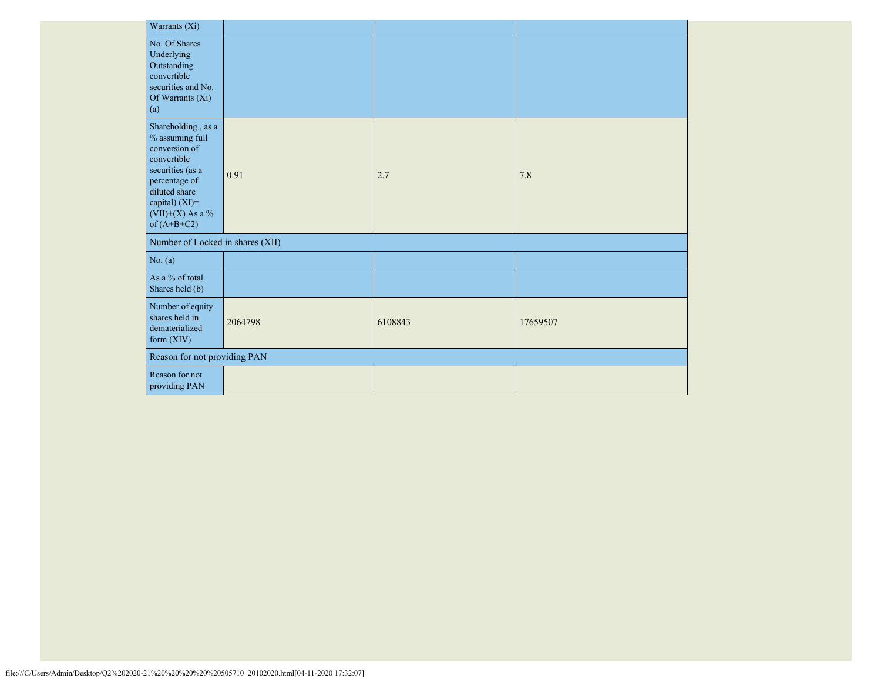| Warrants (Xi)                                                                                                                                                                           |         |         |          |
|-----------------------------------------------------------------------------------------------------------------------------------------------------------------------------------------|---------|---------|----------|
| No. Of Shares<br>Underlying<br>Outstanding<br>convertible<br>securities and No.<br>Of Warrants (Xi)<br>(a)                                                                              |         |         |          |
| Shareholding, as a<br>$\%$ assuming full<br>conversion of<br>convertible<br>securities (as a<br>percentage of<br>diluted share<br>capital) (XI)=<br>$(VII)+(X)$ As a %<br>of $(A+B+C2)$ | 0.91    | 2.7     | 7.8      |
| Number of Locked in shares (XII)                                                                                                                                                        |         |         |          |
| No. (a)                                                                                                                                                                                 |         |         |          |
| As a % of total<br>Shares held (b)                                                                                                                                                      |         |         |          |
| Number of equity<br>shares held in<br>dematerialized<br>form (XIV)                                                                                                                      | 2064798 | 6108843 | 17659507 |
| Reason for not providing PAN                                                                                                                                                            |         |         |          |
| Reason for not<br>providing PAN                                                                                                                                                         |         |         |          |